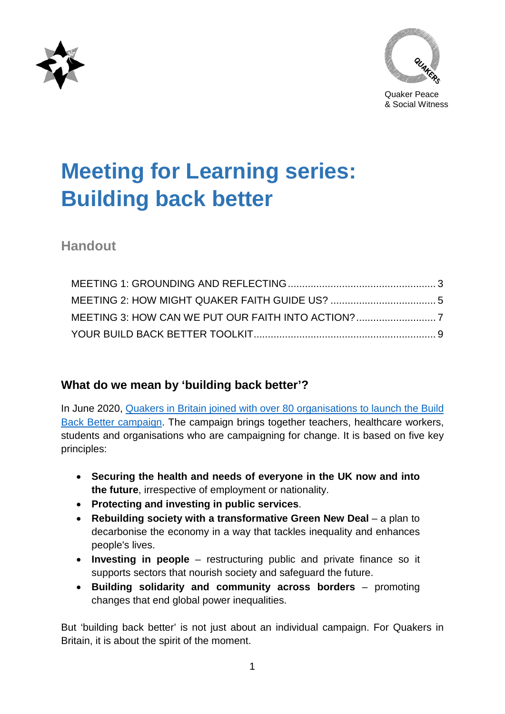



# **Meeting for Learning series: Building back better**

## **Handout**

## **What do we mean by 'building back better'?**

In June 2020, [Quakers in Britain joined with over 80 organisations to launch the Build](https://www.quaker.org.uk/news-and-events/news/quakers-join-launch-of-build-back-better-campaign)  [Back Better campaign.](https://www.quaker.org.uk/news-and-events/news/quakers-join-launch-of-build-back-better-campaign) The campaign brings together teachers, healthcare workers, students and organisations who are campaigning for change. It is based on five key principles:

- **Securing the health and needs of everyone in the UK now and into the future**, irrespective of employment or nationality.
- **Protecting and investing in public services**.
- **Rebuilding society with a transformative Green New Deal** a plan to decarbonise the economy in a way that tackles inequality and enhances people's lives.
- **Investing in people**  restructuring public and private finance so it supports sectors that nourish society and safeguard the future.
- **Building solidarity and community across borders** promoting changes that end global power inequalities.

But 'building back better' is not just about an individual campaign. For Quakers in Britain, it is about the spirit of the moment.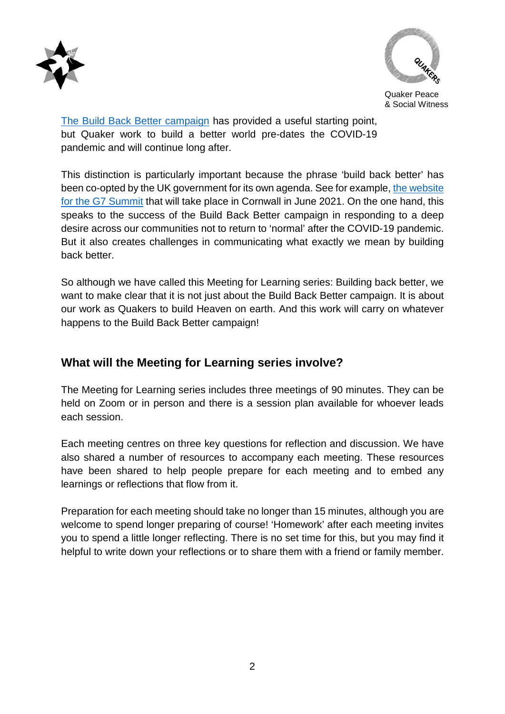



[The Build Back Better campaign](https://www.buildbackbetteruk.org/) has provided a useful starting point, but Quaker work to build a better world pre-dates the COVID-19 pandemic and will continue long after.

This distinction is particularly important because the phrase 'build back better' has been co-opted by the UK government for its own agenda. See for example[, the website](https://www.g7uk.org/)  [for the G7 Summit](https://www.g7uk.org/) that will take place in Cornwall in June 2021. On the one hand, this speaks to the success of the Build Back Better campaign in responding to a deep desire across our communities not to return to 'normal' after the COVID-19 pandemic. But it also creates challenges in communicating what exactly we mean by building back better.

So although we have called this Meeting for Learning series: Building back better, we want to make clear that it is not just about the Build Back Better campaign. It is about our work as Quakers to build Heaven on earth. And this work will carry on whatever happens to the Build Back Better campaign!

## **What will the Meeting for Learning series involve?**

The Meeting for Learning series includes three meetings of 90 minutes. They can be held on Zoom or in person and there is a session plan available for whoever leads each session.

Each meeting centres on three key questions for reflection and discussion. We have also shared a number of resources to accompany each meeting. These resources have been shared to help people prepare for each meeting and to embed any learnings or reflections that flow from it.

Preparation for each meeting should take no longer than 15 minutes, although you are welcome to spend longer preparing of course! 'Homework' after each meeting invites you to spend a little longer reflecting. There is no set time for this, but you may find it helpful to write down your reflections or to share them with a friend or family member.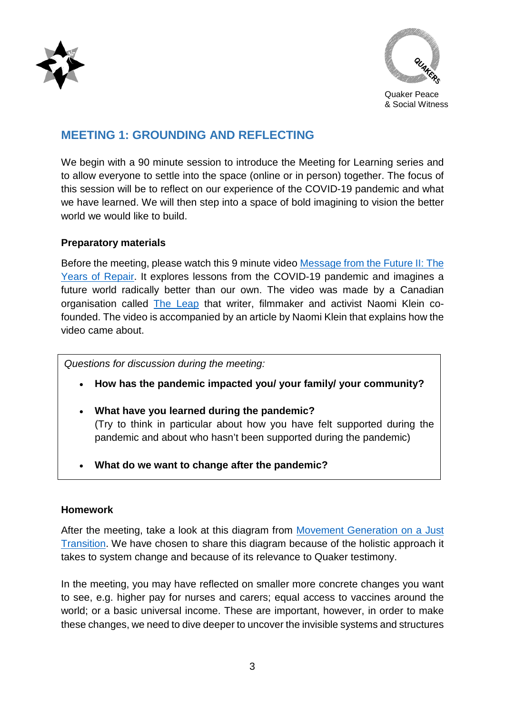



### <span id="page-2-0"></span>**MEETING 1: GROUNDING AND REFLECTING**

We begin with a 90 minute session to introduce the Meeting for Learning series and to allow everyone to settle into the space (online or in person) together. The focus of this session will be to reflect on our experience of the COVID-19 pandemic and what we have learned. We will then step into a space of bold imagining to vision the better world we would like to build.

#### **Preparatory materials**

Before the meeting, please watch this 9 minute video [Message from the Future II: The](https://theintercept.com/2020/10/01/naomi-klein-message-from-future-covid/)  [Years of Repair.](https://theintercept.com/2020/10/01/naomi-klein-message-from-future-covid/) It explores lessons from the COVID-19 pandemic and imagines a future world radically better than our own. The video was made by a Canadian organisation called [The Leap](https://theleap.org/) that writer, filmmaker and activist Naomi Klein cofounded. The video is accompanied by an article by Naomi Klein that explains how the video came about.

*Questions for discussion during the meeting:*

- **How has the pandemic impacted you/ your family/ your community?**
- **What have you learned during the pandemic?**  (Try to think in particular about how you have felt supported during the pandemic and about who hasn't been supported during the pandemic)
- **What do we want to change after the pandemic?**

#### **Homework**

After the meeting, take a look at this diagram from [Movement Generation on a Just](https://movementgeneration.org/wp-content/uploads/2016/04/JTFramework_EDGE2016-01.jpg)  [Transition.](https://movementgeneration.org/wp-content/uploads/2016/04/JTFramework_EDGE2016-01.jpg) We have chosen to share this diagram because of the holistic approach it takes to system change and because of its relevance to Quaker testimony.

In the meeting, you may have reflected on smaller more concrete changes you want to see, e.g. higher pay for nurses and carers; equal access to vaccines around the world; or a basic universal income. These are important, however, in order to make these changes, we need to dive deeper to uncover the invisible systems and structures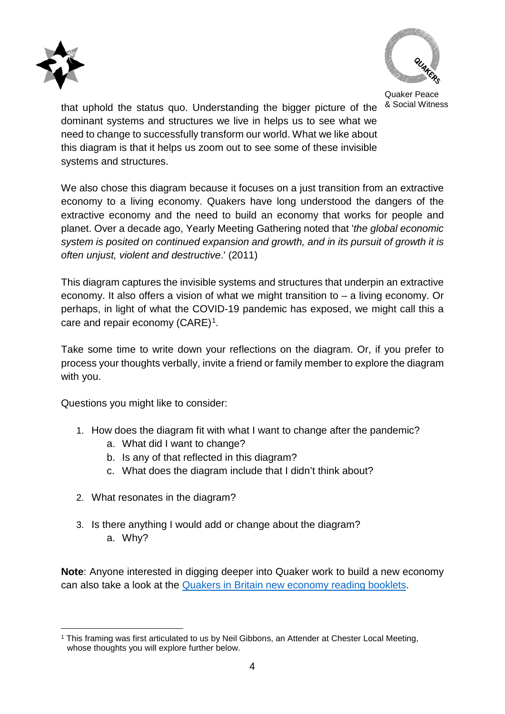



Quaker Peace

that uphold the status quo. Understanding the bigger picture of the  $8$  Social Witness dominant systems and structures we live in helps us to see what we need to change to successfully transform our world. What we like about this diagram is that it helps us zoom out to see some of these invisible systems and structures.

We also chose this diagram because it focuses on a just transition from an extractive economy to a living economy. Quakers have long understood the dangers of the extractive economy and the need to build an economy that works for people and planet. Over a decade ago, Yearly Meeting Gathering noted that '*the global economic system is posited on continued expansion and growth, and in its pursuit of growth it is often unjust, violent and destructive*.' (2011)

This diagram captures the invisible systems and structures that underpin an extractive economy. It also offers a vision of what we might transition to – a living economy. Or perhaps, in light of what the COVID-19 pandemic has exposed, we might call this a care and repair economy (CARE)<sup>[1](#page-3-0)</sup>.

Take some time to write down your reflections on the diagram. Or, if you prefer to process your thoughts verbally, invite a friend or family member to explore the diagram with you.

Questions you might like to consider:

- 1. How does the diagram fit with what I want to change after the pandemic?
	- a. What did I want to change?
	- b. Is any of that reflected in this diagram?
	- c. What does the diagram include that I didn't think about?
- 2. What resonates in the diagram?
- 3. Is there anything I would add or change about the diagram? a. Why?

**Note**: Anyone interested in digging deeper into Quaker work to build a new economy can also take a look at the **Quakers in Britain new economy reading booklets.** 

<span id="page-3-0"></span> <sup>1</sup> This framing was first articulated to us by Neil Gibbons, an Attender at Chester Local Meeting, whose thoughts you will explore further below.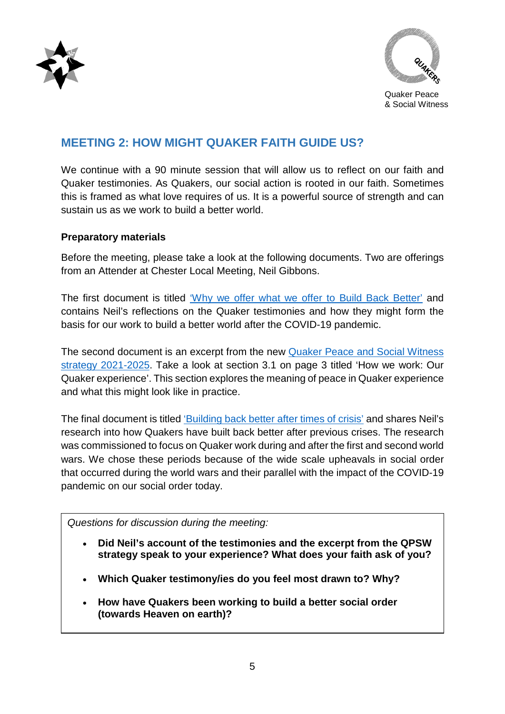



## <span id="page-4-0"></span>**MEETING 2: HOW MIGHT QUAKER FAITH GUIDE US?**

We continue with a 90 minute session that will allow us to reflect on our faith and Quaker testimonies. As Quakers, our social action is rooted in our faith. Sometimes this is framed as what love requires of us. It is a powerful source of strength and can sustain us as we work to build a better world.

#### **Preparatory materials**

Before the meeting, please take a look at the following documents. Two are offerings from an Attender at Chester Local Meeting, Neil Gibbons.

The first document is titled ['Why we offer what we offer to Build Back Better'](https://docs.google.com/document/d/1KjQgIMxbzGlYznUcD9yDqTqVW2mGNKkQ7V2FNzNJKBY/edit?usp=sharing) and contains Neil's reflections on the Quaker testimonies and how they might form the basis for our work to build a better world after the COVID-19 pandemic.

The second document is an excerpt from the new [Quaker Peace and Social Witness](https://www.quaker.org.uk/documents/qpsw-strategy-2021-2025)  [strategy 2021-2025.](https://www.quaker.org.uk/documents/qpsw-strategy-2021-2025) Take a look at section 3.1 on page 3 titled 'How we work: Our Quaker experience'. This section explores the meaning of peace in Quaker experience and what this might look like in practice.

The final document is titled ['Building back better after times of crisis'](https://docs.google.com/document/d/12Zw_GaLW7oQQPE6gRBE4-R6-KuOdExaUFLDk_XkLbBY/edit?usp=sharing) and shares Neil's research into how Quakers have built back better after previous crises. The research was commissioned to focus on Quaker work during and after the first and second world wars. We chose these periods because of the wide scale upheavals in social order that occurred during the world wars and their parallel with the impact of the COVID-19 pandemic on our social order today.

*Questions for discussion during the meeting:*

- **Did Neil's account of the testimonies and the excerpt from the QPSW strategy speak to your experience? What does your faith ask of you?**
- **Which Quaker testimony/ies do you feel most drawn to? Why?**
- **How have Quakers been working to build a better social order (towards Heaven on earth)?**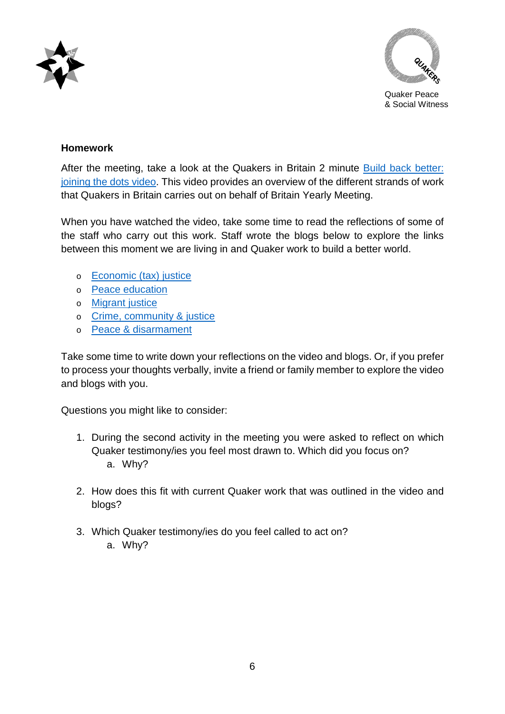



#### **Homework**

After the meeting, take a look at the Quakers in Britain 2 minute [Build back better:](https://vimeo.com/490716811)  [joining the dots video.](https://vimeo.com/490716811) This video provides an overview of the different strands of work that Quakers in Britain carries out on behalf of Britain Yearly Meeting.

When you have watched the video, take some time to read the reflections of some of the staff who carry out this work. Staff wrote the blogs below to explore the links between this moment we are living in and Quaker work to build a better world.

- o [Economic \(tax\) justice](https://www.quaker.org.uk/blog/how-a-fair-tax-system-could-help-us-build-back-better)
- o [Peace education](https://www.quaker.org.uk/blog/building-back-better-in-schools)
- o [Migrant justice](https://www.quaker.org.uk/blog/build-back-better-throughout-the-world)
- o [Crime, community & justice](https://www.quaker.org.uk/blog/getting-to-the-root-of-things-peace-crime-and-justice)
- o [Peace & disarmament](https://www.quaker.org.uk/blog/rebuilding-society-through-peacemaking-and-disarmament)

Take some time to write down your reflections on the video and blogs. Or, if you prefer to process your thoughts verbally, invite a friend or family member to explore the video and blogs with you.

Questions you might like to consider:

- 1. During the second activity in the meeting you were asked to reflect on which Quaker testimony/ies you feel most drawn to. Which did you focus on? a. Why?
- 2. How does this fit with current Quaker work that was outlined in the video and blogs?
- 3. Which Quaker testimony/ies do you feel called to act on? a. Why?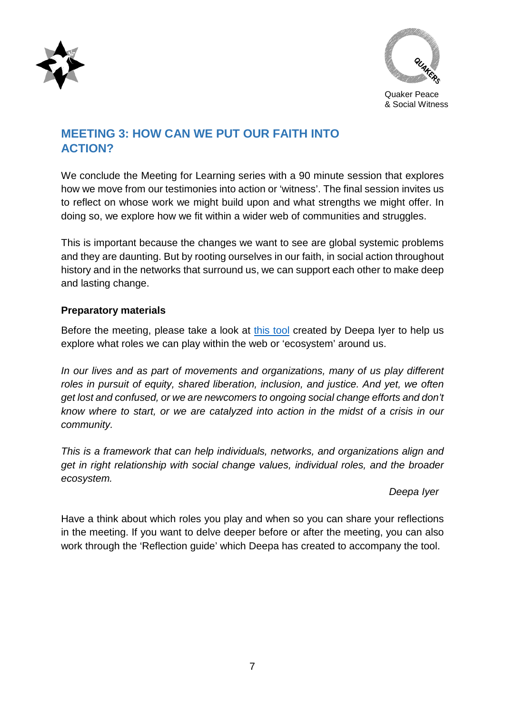<span id="page-6-0"></span>



## **MEETING 3: HOW CAN WE PUT OUR FAITH INTO ACTION?**

We conclude the Meeting for Learning series with a 90 minute session that explores how we move from our testimonies into action or 'witness'. The final session invites us to reflect on whose work we might build upon and what strengths we might offer. In doing so, we explore how we fit within a wider web of communities and struggles.

This is important because the changes we want to see are global systemic problems and they are daunting. But by rooting ourselves in our faith, in social action throughout history and in the networks that surround us, we can support each other to make deep and lasting change.

#### **Preparatory materials**

Before the meeting, please take a look at [this tool](http://deepaiyer.com/the-map-social-change-ecosystem/) created by Deepa Iyer to help us explore what roles we can play within the web or 'ecosystem' around us.

*In our lives and as part of movements and organizations, many of us play different roles in pursuit of equity, shared liberation, inclusion, and justice. And yet, we often get lost and confused, or we are newcomers to ongoing social change efforts and don't know where to start, or we are catalyzed into action in the midst of a crisis in our community.*

*This is a framework that can help individuals, networks, and organizations align and get in right relationship with social change values, individual roles, and the broader ecosystem.*

#### *Deepa Iyer*

Have a think about which roles you play and when so you can share your reflections in the meeting. If you want to delve deeper before or after the meeting, you can also work through the 'Reflection guide' which Deepa has created to accompany the tool.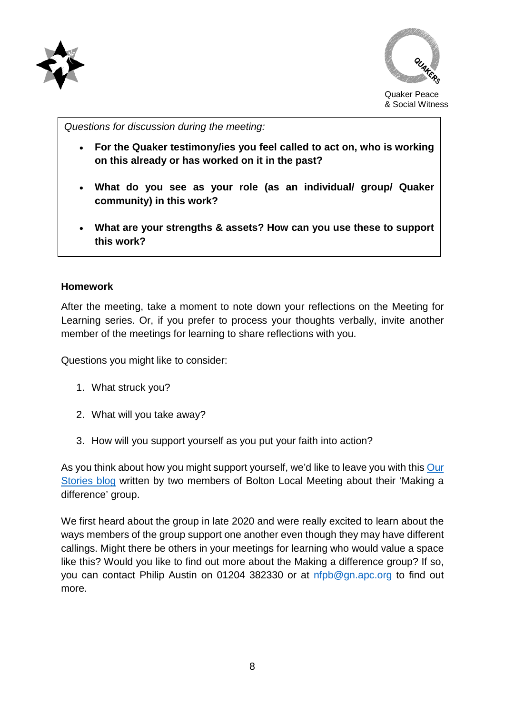



*Questions for discussion during the meeting:*

- **For the Quaker testimony/ies you feel called to act on, who is working on this already or has worked on it in the past?**
- **What do you see as your role (as an individual/ group/ Quaker community) in this work?**
- **What are your strengths & assets? How can you use these to support this work?**

#### **Homework**

After the meeting, take a moment to note down your reflections on the Meeting for Learning series. Or, if you prefer to process your thoughts verbally, invite another member of the meetings for learning to share reflections with you.

Questions you might like to consider:

- 1. What struck you?
- 2. What will you take away?
- 3. How will you support yourself as you put your faith into action?

As you think about how you might support yourself, we'd like to leave you with this Our [Stories blog](https://www.quaker.org.uk/our-work/our-stories/making-a-difference-an-approach-by-some-friends-in-bolton) written by two members of Bolton Local Meeting about their 'Making a difference' group.

We first heard about the group in late 2020 and were really excited to learn about the ways members of the group support one another even though they may have different callings. Might there be others in your meetings for learning who would value a space like this? Would you like to find out more about the Making a difference group? If so, you can contact Philip Austin on 01204 382330 or at [nfpb@gn.apc.org](mailto:nfpb@gn.apc.org) to find out more.